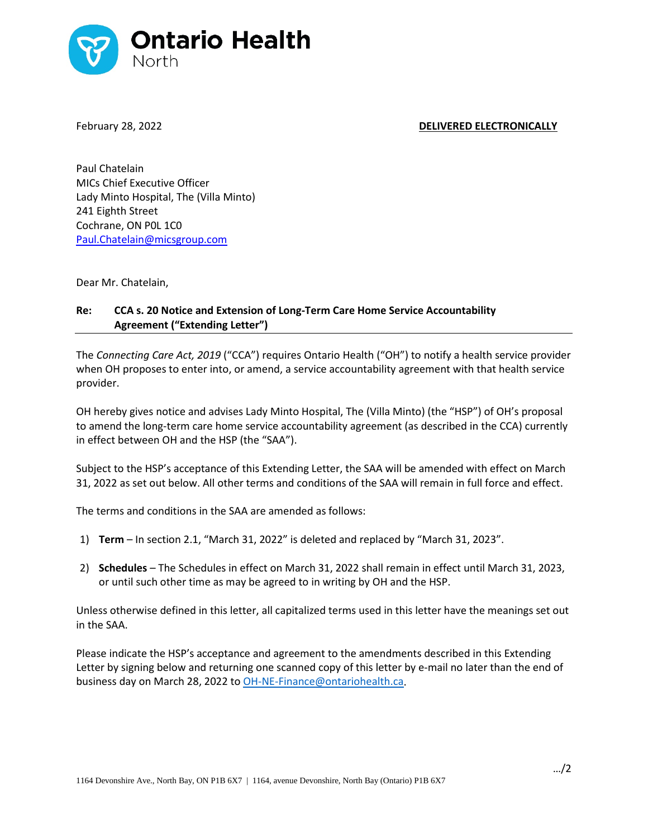

## February 28, 2022 **DELIVERED ELECTRONICALLY**

Paul Chatelain MICs Chief Executive Officer Lady Minto Hospital, The (Villa Minto) 241 Eighth Street Cochrane, ON P0L 1C0 Paul.Chatelain@micsgroup.com

Dear Mr. Chatelain,

## **Re: CCA s. 20 Notice and Extension of Long-Term Care Home Service Accountability Agreement ("Extending Letter")**

The *Connecting Care Act, 2019* ("CCA") requires Ontario Health ("OH") to notify a health service provider when OH proposes to enter into, or amend, a service accountability agreement with that health service provider.

OH hereby gives notice and advises Lady Minto Hospital, The (Villa Minto) (the "HSP") of OH's proposal to amend the long-term care home service accountability agreement (as described in the CCA) currently in effect between OH and the HSP (the "SAA").

Subject to the HSP's acceptance of this Extending Letter, the SAA will be amended with effect on March 31, 2022 as set out below. All other terms and conditions of the SAA will remain in full force and effect.

The terms and conditions in the SAA are amended as follows:

- 1) **Term** In section 2.1, "March 31, 2022" is deleted and replaced by "March 31, 2023".
- 2) **Schedules**  The Schedules in effect on March 31, 2022 shall remain in effect until March 31, 2023, or until such other time as may be agreed to in writing by OH and the HSP.

Unless otherwise defined in this letter, all capitalized terms used in this letter have the meanings set out in the SAA.

Please indicate the HSP's acceptance and agreement to the amendments described in this Extending Letter by signing below and returning one scanned copy of this letter by e-mail no later than the end of business day on March 28, 2022 to [OH-NE-Finance@ontariohealth.ca.](mailto:OH-NE-Finance@ontariohealth.ca)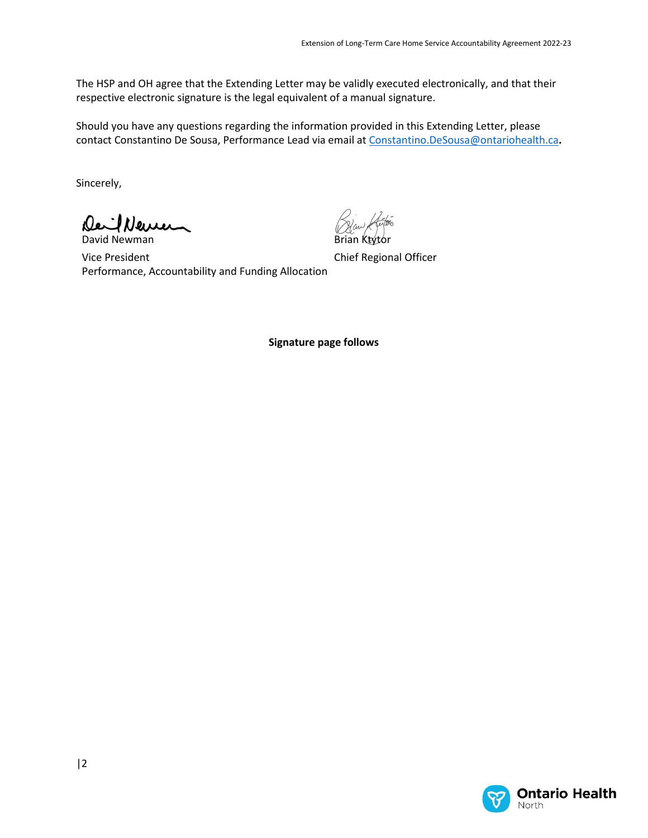The HSP and OH agree that the Extending Letter may be validly executed electronically, and that their respective electronic signature is the legal equivalent of a manual signature.

Should you have any questions regarding the information provided in this Extending Letter, please contact Constantino De Sousa, Performance Lead via email a[t Constantino.DeSousa@ontariohealth.ca](mailto:Constantino.DeSousa@ontariohealth.ca)**.**

Sincerely,

DeilNeuen David Newman

Brian Ktytor

Vice President Performance, Accountability and Funding Allocation

Chief Regional Officer

**Signature page follows**